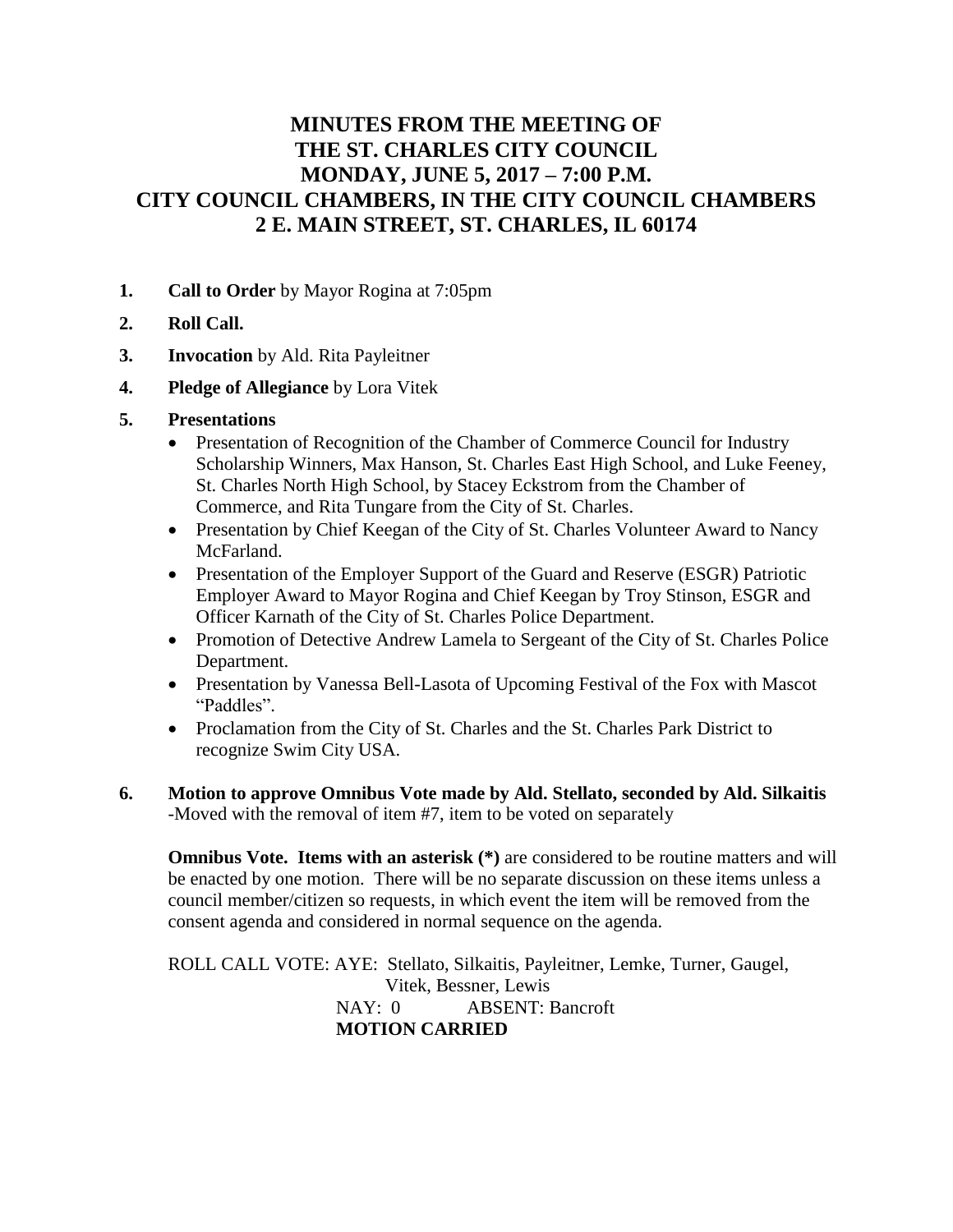# **MINUTES FROM THE MEETING OF THE ST. CHARLES CITY COUNCIL MONDAY, JUNE 5, 2017 – 7:00 P.M. CITY COUNCIL CHAMBERS, IN THE CITY COUNCIL CHAMBERS 2 E. MAIN STREET, ST. CHARLES, IL 60174**

- **1. Call to Order** by Mayor Rogina at 7:05pm
- **2. Roll Call.**
- **3. Invocation** by Ald. Rita Payleitner
- **4. Pledge of Allegiance** by Lora Vitek
- **5. Presentations**
	- Presentation of Recognition of the Chamber of Commerce Council for Industry Scholarship Winners, Max Hanson, St. Charles East High School, and Luke Feeney, St. Charles North High School, by Stacey Eckstrom from the Chamber of Commerce, and Rita Tungare from the City of St. Charles.
	- Presentation by Chief Keegan of the City of St. Charles Volunteer Award to Nancy McFarland.
	- Presentation of the Employer Support of the Guard and Reserve (ESGR) Patriotic Employer Award to Mayor Rogina and Chief Keegan by Troy Stinson, ESGR and Officer Karnath of the City of St. Charles Police Department.
	- Promotion of Detective Andrew Lamela to Sergeant of the City of St. Charles Police Department.
	- Presentation by Vanessa Bell-Lasota of Upcoming Festival of the Fox with Mascot "Paddles".
	- Proclamation from the City of St. Charles and the St. Charles Park District to recognize Swim City USA.
- **6. Motion to approve Omnibus Vote made by Ald. Stellato, seconded by Ald. Silkaitis** -Moved with the removal of item #7, item to be voted on separately

**Omnibus Vote. Items with an asterisk** (\*) are considered to be routine matters and will be enacted by one motion. There will be no separate discussion on these items unless a council member/citizen so requests, in which event the item will be removed from the consent agenda and considered in normal sequence on the agenda.

ROLL CALL VOTE: AYE: Stellato, Silkaitis, Payleitner, Lemke, Turner, Gaugel, Vitek, Bessner, Lewis NAY: 0 ABSENT: Bancroft **MOTION CARRIED**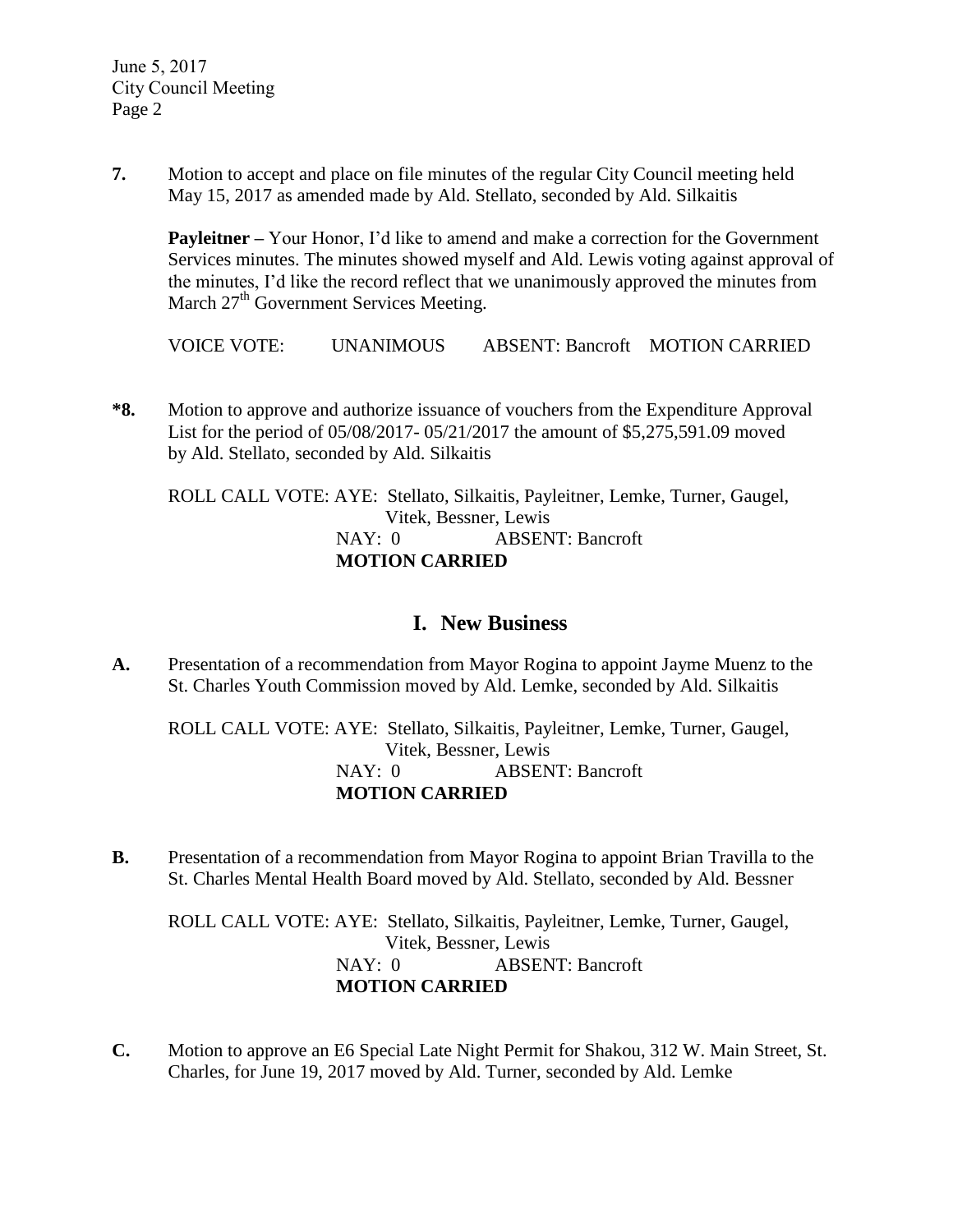**7.** Motion to accept and place on file minutes of the regular City Council meeting held May 15, 2017 as amended made by Ald. Stellato, seconded by Ald. Silkaitis

**Payleitner –** Your Honor, I'd like to amend and make a correction for the Government Services minutes. The minutes showed myself and Ald. Lewis voting against approval of the minutes, I'd like the record reflect that we unanimously approved the minutes from March 27<sup>th</sup> Government Services Meeting.

VOICE VOTE: UNANIMOUS ABSENT: Bancroft MOTION CARRIED

**\*8.** Motion to approve and authorize issuance of vouchers from the Expenditure Approval List for the period of 05/08/2017- 05/21/2017 the amount of \$5,275,591.09 moved by Ald. Stellato, seconded by Ald. Silkaitis

ROLL CALL VOTE: AYE: Stellato, Silkaitis, Payleitner, Lemke, Turner, Gaugel, Vitek, Bessner, Lewis NAY: 0 ABSENT: Bancroft **MOTION CARRIED**

### **I. New Business**

**A.** Presentation of a recommendation from Mayor Rogina to appoint Jayme Muenz to the St. Charles Youth Commission moved by Ald. Lemke, seconded by Ald. Silkaitis

ROLL CALL VOTE: AYE: Stellato, Silkaitis, Payleitner, Lemke, Turner, Gaugel, Vitek, Bessner, Lewis NAY: 0 ABSENT: Bancroft **MOTION CARRIED**

**B.** Presentation of a recommendation from Mayor Rogina to appoint Brian Travilla to the St. Charles Mental Health Board moved by Ald. Stellato, seconded by Ald. Bessner

ROLL CALL VOTE: AYE: Stellato, Silkaitis, Payleitner, Lemke, Turner, Gaugel, Vitek, Bessner, Lewis NAY: 0 ABSENT: Bancroft **MOTION CARRIED**

**C.** Motion to approve an E6 Special Late Night Permit for Shakou, 312 W. Main Street, St. Charles, for June 19, 2017 moved by Ald. Turner, seconded by Ald. Lemke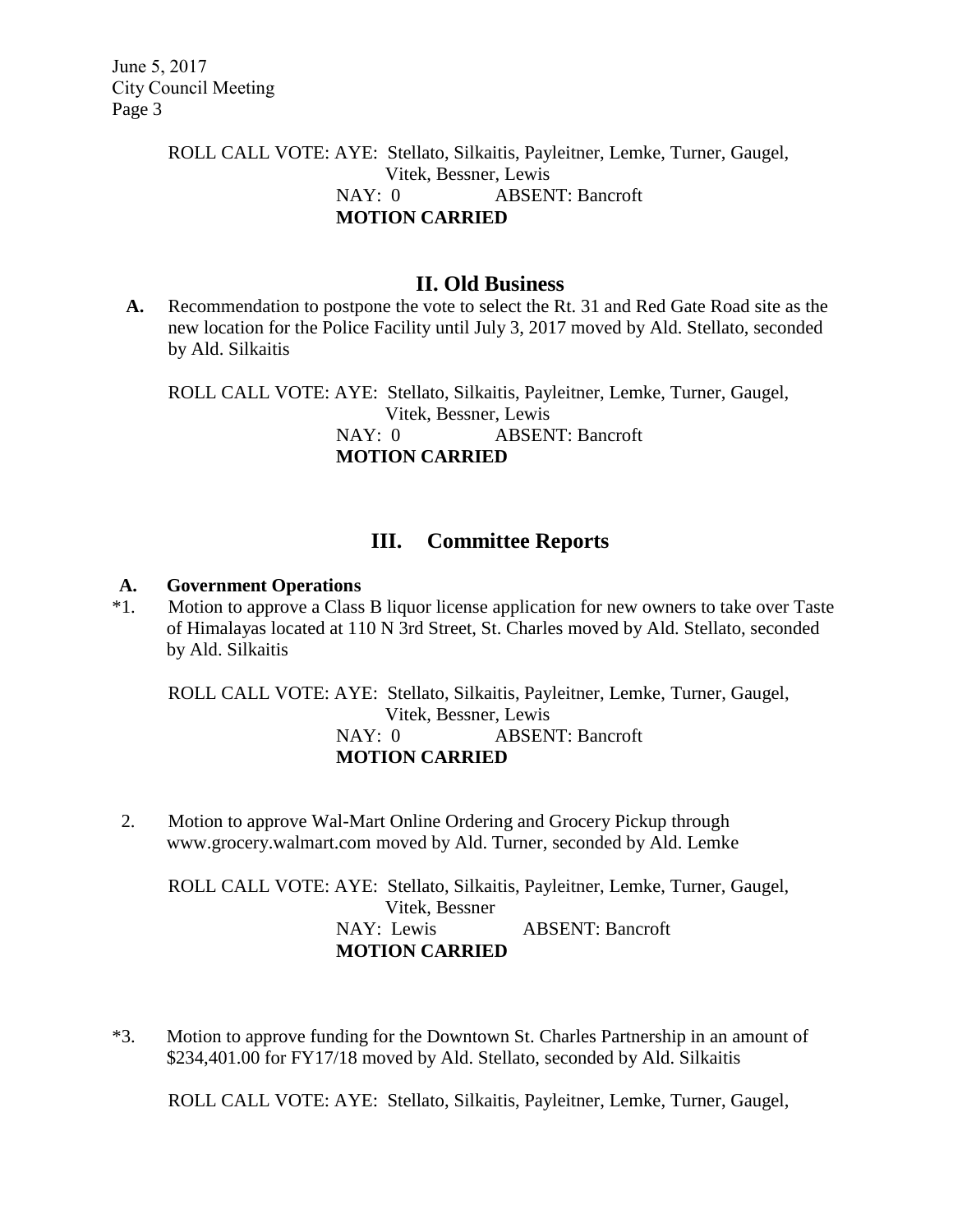## ROLL CALL VOTE: AYE: Stellato, Silkaitis, Payleitner, Lemke, Turner, Gaugel, Vitek, Bessner, Lewis NAY: 0 ABSENT: Bancroft **MOTION CARRIED**

## **II. Old Business**

**A.** Recommendation to postpone the vote to select the Rt. 31 and Red Gate Road site as the new location for the Police Facility until July 3, 2017 moved by Ald. Stellato, seconded by Ald. Silkaitis

ROLL CALL VOTE: AYE: Stellato, Silkaitis, Payleitner, Lemke, Turner, Gaugel, Vitek, Bessner, Lewis NAY: 0 ABSENT: Bancroft **MOTION CARRIED**

# **III. Committee Reports**

#### **A. Government Operations**

\*1. Motion to approve a Class B liquor license application for new owners to take over Taste of Himalayas located at 110 N 3rd Street, St. Charles moved by Ald. Stellato, seconded by Ald. Silkaitis

ROLL CALL VOTE: AYE: Stellato, Silkaitis, Payleitner, Lemke, Turner, Gaugel, Vitek, Bessner, Lewis NAY: 0 ABSENT: Bancroft **MOTION CARRIED**

2. Motion to approve Wal-Mart Online Ordering and Grocery Pickup through [www.grocery.walmart.com](http://www.grocery.walmart.com/) moved by Ald. Turner, seconded by Ald. Lemke

ROLL CALL VOTE: AYE: Stellato, Silkaitis, Payleitner, Lemke, Turner, Gaugel, Vitek, Bessner NAY: Lewis ABSENT: Bancroft **MOTION CARRIED**

\*3. Motion to approve funding for the Downtown St. Charles Partnership in an amount of \$234,401.00 for FY17/18 moved by Ald. Stellato, seconded by Ald. Silkaitis

ROLL CALL VOTE: AYE: Stellato, Silkaitis, Payleitner, Lemke, Turner, Gaugel,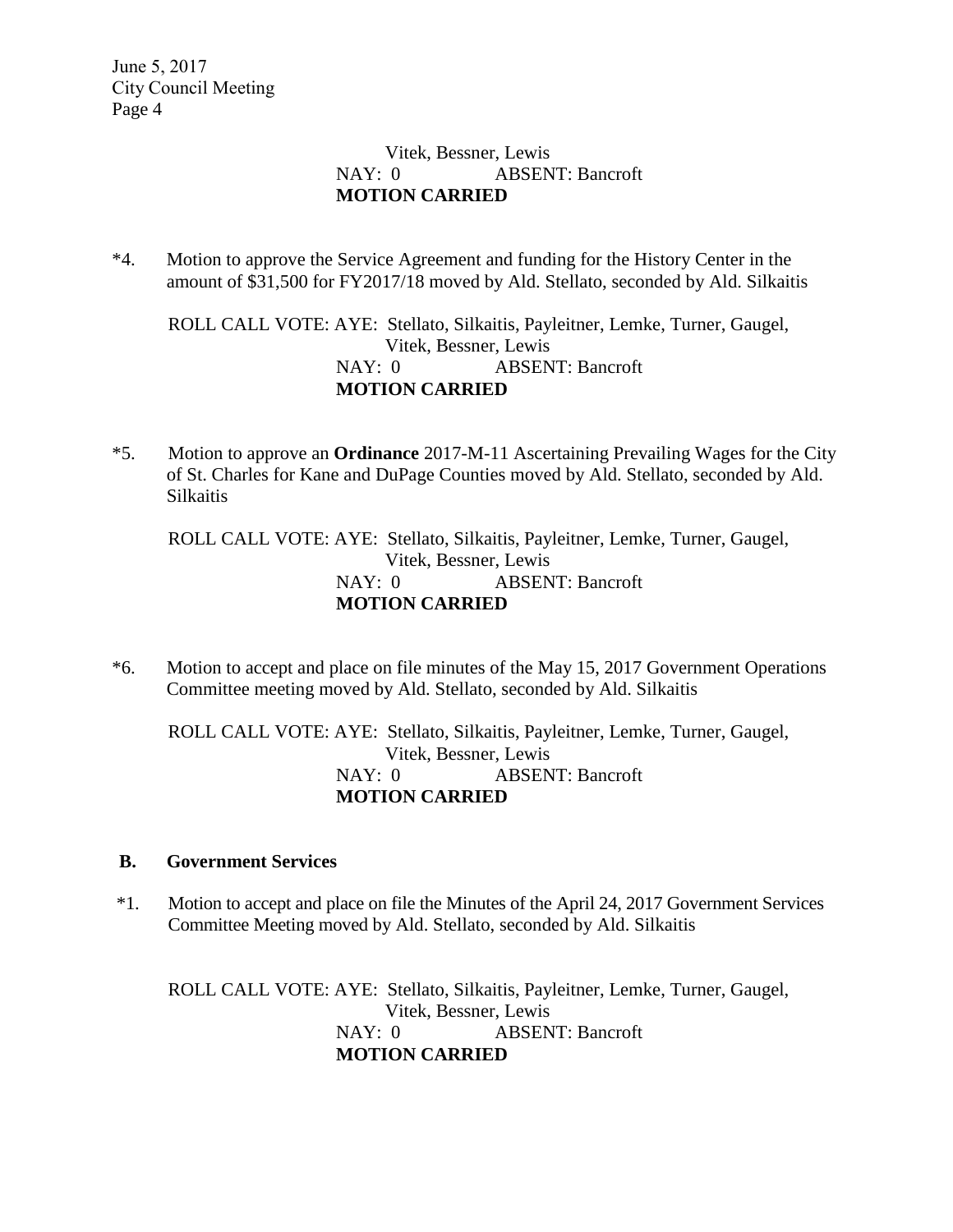### Vitek, Bessner, Lewis NAY: 0 ABSENT: Bancroft **MOTION CARRIED**

\*4. Motion to approve the Service Agreement and funding for the History Center in the amount of \$31,500 for FY2017/18 moved by Ald. Stellato, seconded by Ald. Silkaitis

ROLL CALL VOTE: AYE: Stellato, Silkaitis, Payleitner, Lemke, Turner, Gaugel, Vitek, Bessner, Lewis NAY: 0 ABSENT: Bancroft **MOTION CARRIED**

\*5. Motion to approve an **Ordinance** 2017-M-11 Ascertaining Prevailing Wages for the City of St. Charles for Kane and DuPage Counties moved by Ald. Stellato, seconded by Ald. Silkaitis

ROLL CALL VOTE: AYE: Stellato, Silkaitis, Payleitner, Lemke, Turner, Gaugel, Vitek, Bessner, Lewis NAY: 0 ABSENT: Bancroft **MOTION CARRIED**

\*6. Motion to accept and place on file minutes of the May 15, 2017 Government Operations Committee meeting moved by Ald. Stellato, seconded by Ald. Silkaitis

ROLL CALL VOTE: AYE: Stellato, Silkaitis, Payleitner, Lemke, Turner, Gaugel, Vitek, Bessner, Lewis NAY: 0 ABSENT: Bancroft **MOTION CARRIED**

### **B. Government Services**

\*1. Motion to accept and place on file the Minutes of the April 24, 2017 Government Services Committee Meeting moved by Ald. Stellato, seconded by Ald. Silkaitis

ROLL CALL VOTE: AYE: Stellato, Silkaitis, Payleitner, Lemke, Turner, Gaugel, Vitek, Bessner, Lewis NAY: 0 ABSENT: Bancroft **MOTION CARRIED**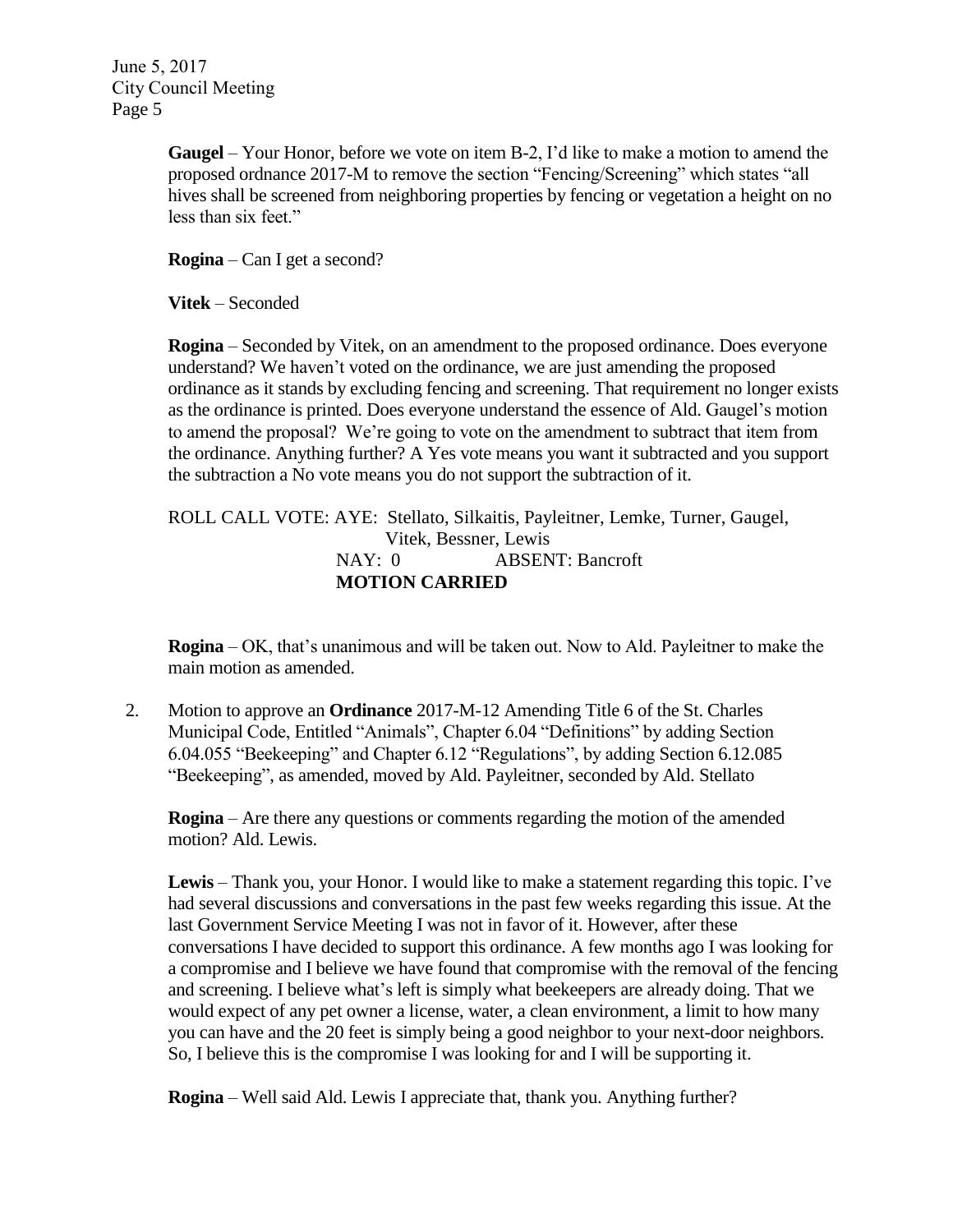> **Gaugel** – Your Honor, before we vote on item B-2, I'd like to make a motion to amend the proposed ordnance 2017-M to remove the section "Fencing/Screening" which states "all hives shall be screened from neighboring properties by fencing or vegetation a height on no less than six feet."

**Rogina** – Can I get a second?

**Vitek** – Seconded

**Rogina** – Seconded by Vitek, on an amendment to the proposed ordinance. Does everyone understand? We haven't voted on the ordinance, we are just amending the proposed ordinance as it stands by excluding fencing and screening. That requirement no longer exists as the ordinance is printed. Does everyone understand the essence of Ald. Gaugel's motion to amend the proposal? We're going to vote on the amendment to subtract that item from the ordinance. Anything further? A Yes vote means you want it subtracted and you support the subtraction a No vote means you do not support the subtraction of it.

ROLL CALL VOTE: AYE: Stellato, Silkaitis, Payleitner, Lemke, Turner, Gaugel, Vitek, Bessner, Lewis NAY: 0 ABSENT: Bancroft **MOTION CARRIED**

**Rogina** – OK, that's unanimous and will be taken out. Now to Ald. Payleitner to make the main motion as amended.

 2. Motion to approve an **Ordinance** 2017-M-12 Amending Title 6 of the St. Charles Municipal Code, Entitled "Animals", Chapter 6.04 "Definitions" by adding Section 6.04.055 "Beekeeping" and Chapter 6.12 "Regulations", by adding Section 6.12.085 "Beekeeping", as amended, moved by Ald. Payleitner, seconded by Ald. Stellato

**Rogina** – Are there any questions or comments regarding the motion of the amended motion? Ald. Lewis.

**Lewis** – Thank you, your Honor. I would like to make a statement regarding this topic. I've had several discussions and conversations in the past few weeks regarding this issue. At the last Government Service Meeting I was not in favor of it. However, after these conversations I have decided to support this ordinance. A few months ago I was looking for a compromise and I believe we have found that compromise with the removal of the fencing and screening. I believe what's left is simply what beekeepers are already doing. That we would expect of any pet owner a license, water, a clean environment, a limit to how many you can have and the 20 feet is simply being a good neighbor to your next-door neighbors. So, I believe this is the compromise I was looking for and I will be supporting it.

**Rogina** – Well said Ald. Lewis I appreciate that, thank you. Anything further?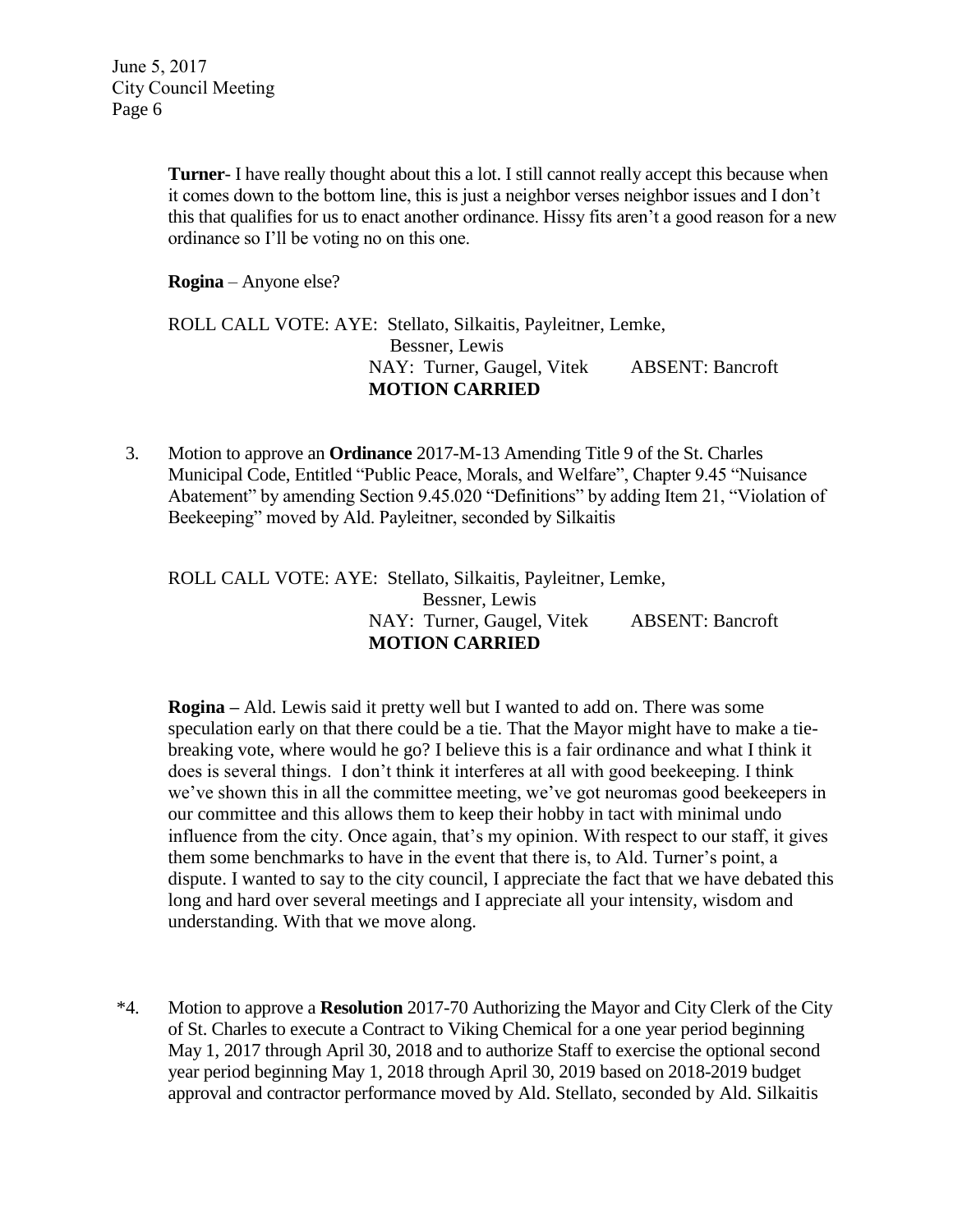**Turner**- I have really thought about this a lot. I still cannot really accept this because when it comes down to the bottom line, this is just a neighbor verses neighbor issues and I don't this that qualifies for us to enact another ordinance. Hissy fits aren't a good reason for a new ordinance so I'll be voting no on this one.

**Rogina** – Anyone else?

### ROLL CALL VOTE: AYE: Stellato, Silkaitis, Payleitner, Lemke, Bessner, Lewis NAY: Turner, Gaugel, Vitek ABSENT: Bancroft  **MOTION CARRIED**

 3. Motion to approve an **Ordinance** 2017-M-13 Amending Title 9 of the St. Charles Municipal Code, Entitled "Public Peace, Morals, and Welfare", Chapter 9.45 "Nuisance Abatement" by amending Section 9.45.020 "Definitions" by adding Item 21, "Violation of Beekeeping" moved by Ald. Payleitner, seconded by Silkaitis

### ROLL CALL VOTE: AYE: Stellato, Silkaitis, Payleitner, Lemke, Bessner, Lewis NAY: Turner, Gaugel, Vitek ABSENT: Bancroft  **MOTION CARRIED**

**Rogina –** Ald. Lewis said it pretty well but I wanted to add on. There was some speculation early on that there could be a tie. That the Mayor might have to make a tiebreaking vote, where would he go? I believe this is a fair ordinance and what I think it does is several things. I don't think it interferes at all with good beekeeping. I think we've shown this in all the committee meeting, we've got neuromas good beekeepers in our committee and this allows them to keep their hobby in tact with minimal undo influence from the city. Once again, that's my opinion. With respect to our staff, it gives them some benchmarks to have in the event that there is, to Ald. Turner's point, a dispute. I wanted to say to the city council, I appreciate the fact that we have debated this long and hard over several meetings and I appreciate all your intensity, wisdom and understanding. With that we move along.

\*4. Motion to approve a **Resolution** 2017-70 Authorizing the Mayor and City Clerk of the City of St. Charles to execute a Contract to Viking Chemical for a one year period beginning May 1, 2017 through April 30, 2018 and to authorize Staff to exercise the optional second year period beginning May 1, 2018 through April 30, 2019 based on 2018-2019 budget approval and contractor performance moved by Ald. Stellato, seconded by Ald. Silkaitis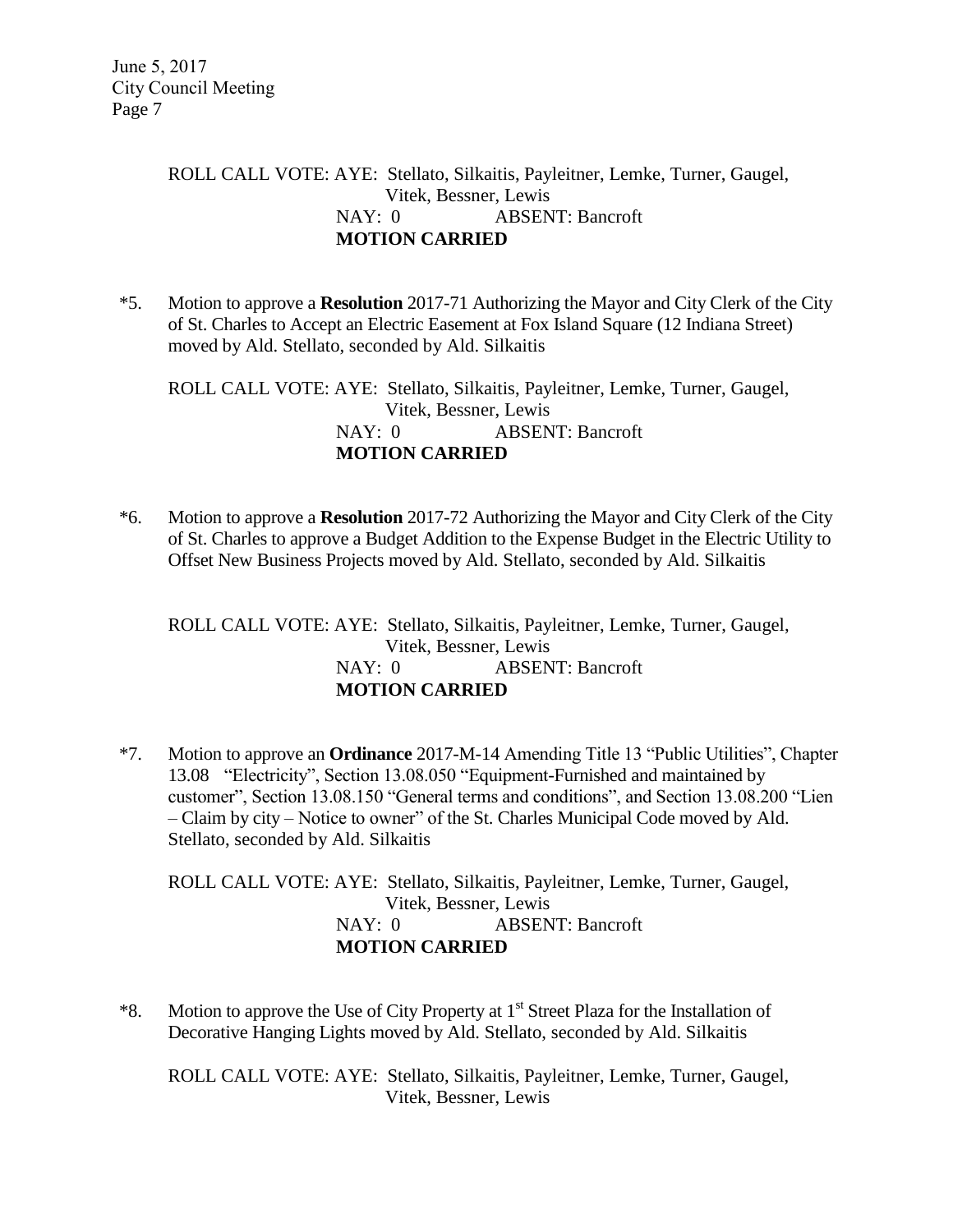### ROLL CALL VOTE: AYE: Stellato, Silkaitis, Payleitner, Lemke, Turner, Gaugel, Vitek, Bessner, Lewis NAY: 0 ABSENT: Bancroft **MOTION CARRIED**

\*5. Motion to approve a **Resolution** 2017-71 Authorizing the Mayor and City Clerk of the City of St. Charles to Accept an Electric Easement at Fox Island Square (12 Indiana Street) moved by Ald. Stellato, seconded by Ald. Silkaitis

ROLL CALL VOTE: AYE: Stellato, Silkaitis, Payleitner, Lemke, Turner, Gaugel, Vitek, Bessner, Lewis NAY: 0 ABSENT: Bancroft **MOTION CARRIED**

\*6. Motion to approve a **Resolution** 2017-72 Authorizing the Mayor and City Clerk of the City of St. Charles to approve a Budget Addition to the Expense Budget in the Electric Utility to Offset New Business Projects moved by Ald. Stellato, seconded by Ald. Silkaitis

ROLL CALL VOTE: AYE: Stellato, Silkaitis, Payleitner, Lemke, Turner, Gaugel, Vitek, Bessner, Lewis NAY: 0 ABSENT: Bancroft **MOTION CARRIED**

\*7. Motion to approve an **Ordinance** 2017-M-14 Amending Title 13 "Public Utilities", Chapter 13.08 "Electricity", Section 13.08.050 "Equipment-Furnished and maintained by customer", Section 13.08.150 "General terms and conditions", and Section 13.08.200 "Lien – Claim by city – Notice to owner" of the St. Charles Municipal Code moved by Ald. Stellato, seconded by Ald. Silkaitis

ROLL CALL VOTE: AYE: Stellato, Silkaitis, Payleitner, Lemke, Turner, Gaugel, Vitek, Bessner, Lewis NAY: 0 ABSENT: Bancroft **MOTION CARRIED**

\*8. Motion to approve the Use of City Property at  $1<sup>st</sup>$  Street Plaza for the Installation of Decorative Hanging Lights moved by Ald. Stellato, seconded by Ald. Silkaitis

ROLL CALL VOTE: AYE: Stellato, Silkaitis, Payleitner, Lemke, Turner, Gaugel, Vitek, Bessner, Lewis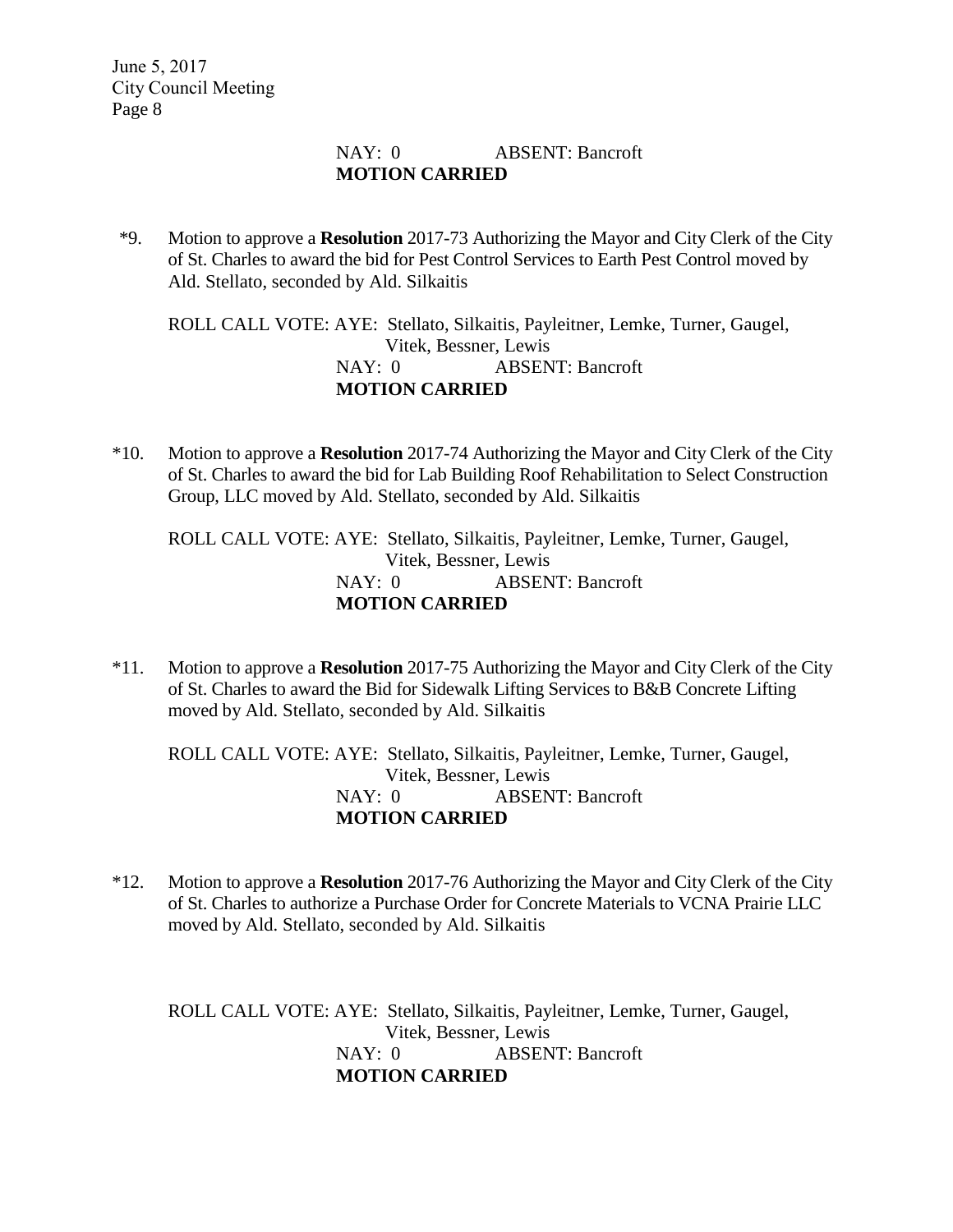### NAY: 0 ABSENT: Bancroft **MOTION CARRIED**

\*9. Motion to approve a **Resolution** 2017-73 Authorizing the Mayor and City Clerk of the City of St. Charles to award the bid for Pest Control Services to Earth Pest Control moved by Ald. Stellato, seconded by Ald. Silkaitis

ROLL CALL VOTE: AYE: Stellato, Silkaitis, Payleitner, Lemke, Turner, Gaugel, Vitek, Bessner, Lewis NAY: 0 ABSENT: Bancroft **MOTION CARRIED**

\*10. Motion to approve a **Resolution** 2017-74 Authorizing the Mayor and City Clerk of the City of St. Charles to award the bid for Lab Building Roof Rehabilitation to Select Construction Group, LLC moved by Ald. Stellato, seconded by Ald. Silkaitis

ROLL CALL VOTE: AYE: Stellato, Silkaitis, Payleitner, Lemke, Turner, Gaugel, Vitek, Bessner, Lewis NAY: 0 ABSENT: Bancroft **MOTION CARRIED**

\*11. Motion to approve a **Resolution** 2017-75 Authorizing the Mayor and City Clerk of the City of St. Charles to award the Bid for Sidewalk Lifting Services to B&B Concrete Lifting moved by Ald. Stellato, seconded by Ald. Silkaitis

ROLL CALL VOTE: AYE: Stellato, Silkaitis, Payleitner, Lemke, Turner, Gaugel, Vitek, Bessner, Lewis NAY: 0 ABSENT: Bancroft **MOTION CARRIED**

\*12. Motion to approve a **Resolution** 2017-76 Authorizing the Mayor and City Clerk of the City of St. Charles to authorize a Purchase Order for Concrete Materials to VCNA Prairie LLC moved by Ald. Stellato, seconded by Ald. Silkaitis

ROLL CALL VOTE: AYE: Stellato, Silkaitis, Payleitner, Lemke, Turner, Gaugel, Vitek, Bessner, Lewis NAY: 0 ABSENT: Bancroft **MOTION CARRIED**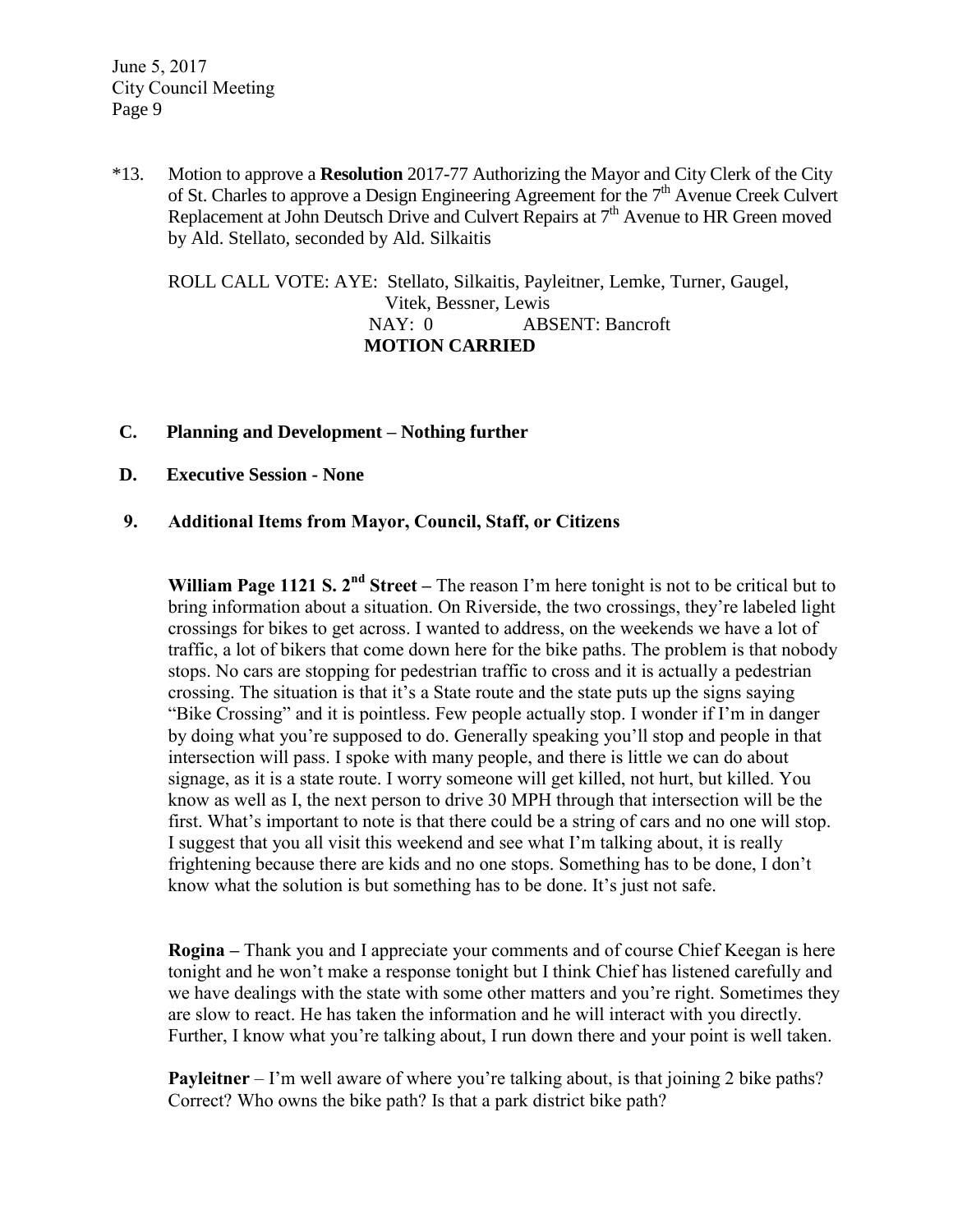\*13. Motion to approve a **Resolution** 2017-77 Authorizing the Mayor and City Clerk of the City of St. Charles to approve a Design Engineering Agreement for the 7<sup>th</sup> Avenue Creek Culvert Replacement at John Deutsch Drive and Culvert Repairs at  $7<sup>th</sup>$  Avenue to HR Green moved by Ald. Stellato, seconded by Ald. Silkaitis

ROLL CALL VOTE: AYE: Stellato, Silkaitis, Payleitner, Lemke, Turner, Gaugel, Vitek, Bessner, Lewis NAY: 0 ABSENT: Bancroft  **MOTION CARRIED**

- **C. Planning and Development – Nothing further**
- **D. Executive Session - None**

#### **9. Additional Items from Mayor, Council, Staff, or Citizens**

**William Page 1121 S. 2nd Street –** The reason I'm here tonight is not to be critical but to bring information about a situation. On Riverside, the two crossings, they're labeled light crossings for bikes to get across. I wanted to address, on the weekends we have a lot of traffic, a lot of bikers that come down here for the bike paths. The problem is that nobody stops. No cars are stopping for pedestrian traffic to cross and it is actually a pedestrian crossing. The situation is that it's a State route and the state puts up the signs saying "Bike Crossing" and it is pointless. Few people actually stop. I wonder if I'm in danger by doing what you're supposed to do. Generally speaking you'll stop and people in that intersection will pass. I spoke with many people, and there is little we can do about signage, as it is a state route. I worry someone will get killed, not hurt, but killed. You know as well as I, the next person to drive 30 MPH through that intersection will be the first. What's important to note is that there could be a string of cars and no one will stop. I suggest that you all visit this weekend and see what I'm talking about, it is really frightening because there are kids and no one stops. Something has to be done, I don't know what the solution is but something has to be done. It's just not safe.

**Rogina –** Thank you and I appreciate your comments and of course Chief Keegan is here tonight and he won't make a response tonight but I think Chief has listened carefully and we have dealings with the state with some other matters and you're right. Sometimes they are slow to react. He has taken the information and he will interact with you directly. Further, I know what you're talking about, I run down there and your point is well taken.

**Payleitner** – I'm well aware of where you're talking about, is that joining 2 bike paths? Correct? Who owns the bike path? Is that a park district bike path?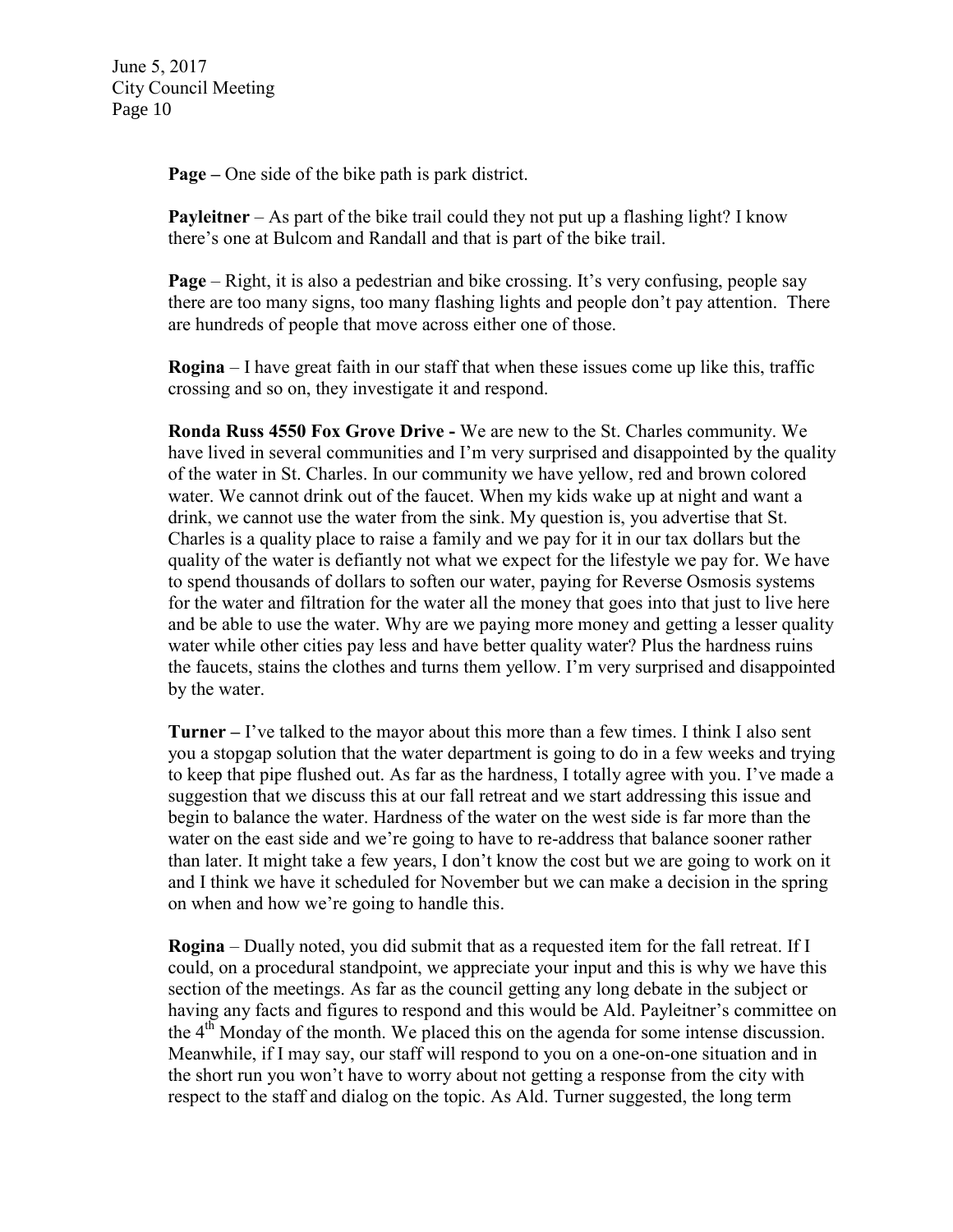**Page –** One side of the bike path is park district.

**Payleitner** – As part of the bike trail could they not put up a flashing light? I know there's one at Bulcom and Randall and that is part of the bike trail.

**Page** – Right, it is also a pedestrian and bike crossing. It's very confusing, people say there are too many signs, too many flashing lights and people don't pay attention. There are hundreds of people that move across either one of those.

**Rogina** – I have great faith in our staff that when these issues come up like this, traffic crossing and so on, they investigate it and respond.

**Ronda Russ 4550 Fox Grove Drive -** We are new to the St. Charles community. We have lived in several communities and I'm very surprised and disappointed by the quality of the water in St. Charles. In our community we have yellow, red and brown colored water. We cannot drink out of the faucet. When my kids wake up at night and want a drink, we cannot use the water from the sink. My question is, you advertise that St. Charles is a quality place to raise a family and we pay for it in our tax dollars but the quality of the water is defiantly not what we expect for the lifestyle we pay for. We have to spend thousands of dollars to soften our water, paying for Reverse Osmosis systems for the water and filtration for the water all the money that goes into that just to live here and be able to use the water. Why are we paying more money and getting a lesser quality water while other cities pay less and have better quality water? Plus the hardness ruins the faucets, stains the clothes and turns them yellow. I'm very surprised and disappointed by the water.

**Turner –** I've talked to the mayor about this more than a few times. I think I also sent you a stopgap solution that the water department is going to do in a few weeks and trying to keep that pipe flushed out. As far as the hardness, I totally agree with you. I've made a suggestion that we discuss this at our fall retreat and we start addressing this issue and begin to balance the water. Hardness of the water on the west side is far more than the water on the east side and we're going to have to re-address that balance sooner rather than later. It might take a few years, I don't know the cost but we are going to work on it and I think we have it scheduled for November but we can make a decision in the spring on when and how we're going to handle this.

**Rogina** – Dually noted, you did submit that as a requested item for the fall retreat. If I could, on a procedural standpoint, we appreciate your input and this is why we have this section of the meetings. As far as the council getting any long debate in the subject or having any facts and figures to respond and this would be Ald. Payleitner's committee on the  $4<sup>th</sup>$  Monday of the month. We placed this on the agenda for some intense discussion. Meanwhile, if I may say, our staff will respond to you on a one-on-one situation and in the short run you won't have to worry about not getting a response from the city with respect to the staff and dialog on the topic. As Ald. Turner suggested, the long term